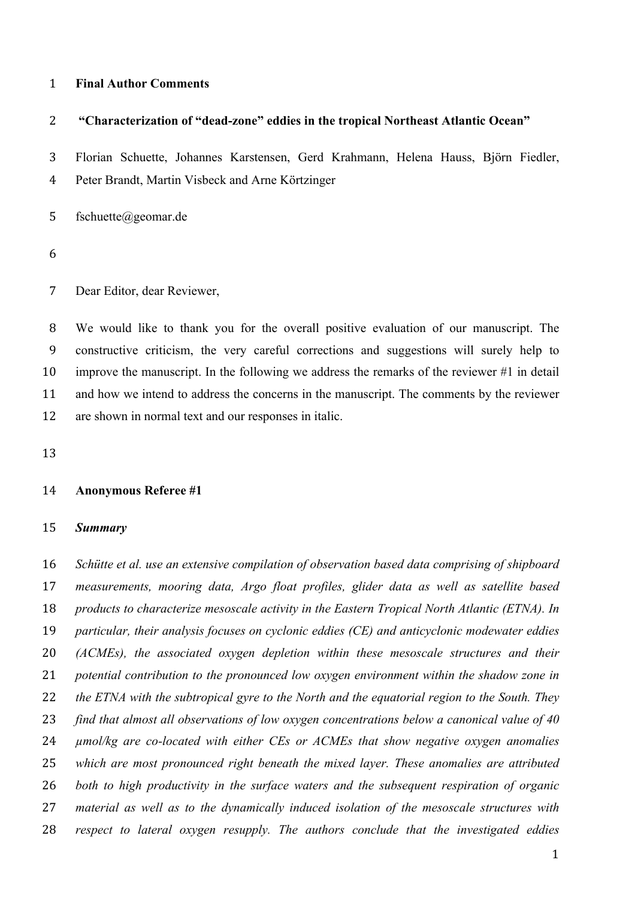#### **Final Author Comments**

#### **"Characterization of "dead-zone" eddies in the tropical Northeast Atlantic Ocean"**

Florian Schuette, Johannes Karstensen, Gerd Krahmann, Helena Hauss, Björn Fiedler,

Peter Brandt, Martin Visbeck and Arne Körtzinger

fschuette@geomar.de

Dear Editor, dear Reviewer,

 We would like to thank you for the overall positive evaluation of our manuscript. The constructive criticism, the very careful corrections and suggestions will surely help to improve the manuscript. In the following we address the remarks of the reviewer #1 in detail and how we intend to address the concerns in the manuscript. The comments by the reviewer are shown in normal text and our responses in italic.

### **Anonymous Referee #1**

#### *Summary*

 *Schütte et al. use an extensive compilation of observation based data comprising of shipboard measurements, mooring data, Argo float profiles, glider data as well as satellite based products to characterize mesoscale activity in the Eastern Tropical North Atlantic (ETNA). In particular, their analysis focuses on cyclonic eddies (CE) and anticyclonic modewater eddies (ACMEs), the associated oxygen depletion within these mesoscale structures and their potential contribution to the pronounced low oxygen environment within the shadow zone in the ETNA with the subtropical gyre to the North and the equatorial region to the South. They find that almost all observations of low oxygen concentrations below a canonical value of 40 µmol/kg are co-located with either CEs or ACMEs that show negative oxygen anomalies which are most pronounced right beneath the mixed layer. These anomalies are attributed both to high productivity in the surface waters and the subsequent respiration of organic material as well as to the dynamically induced isolation of the mesoscale structures with respect to lateral oxygen resupply. The authors conclude that the investigated eddies*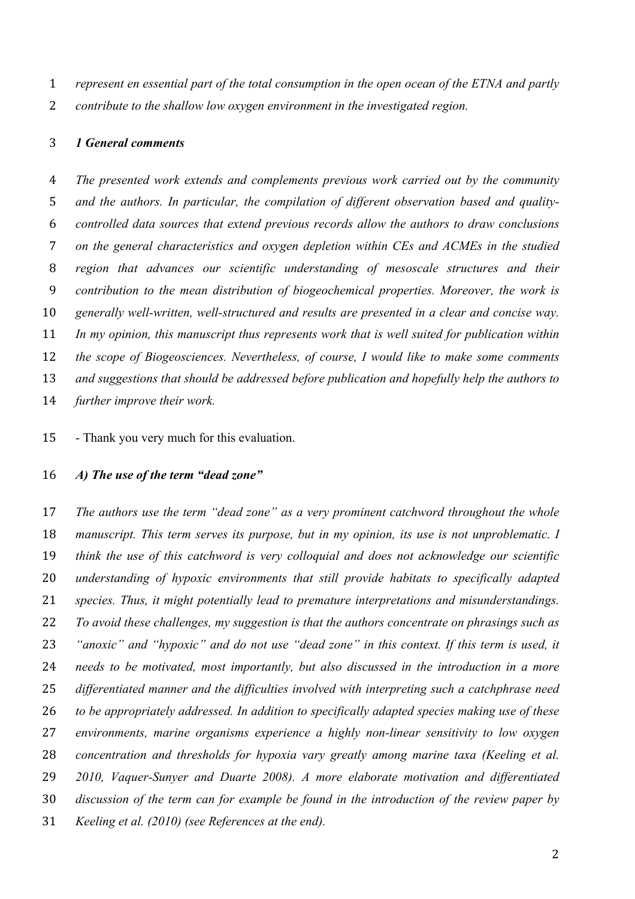*represent en essential part of the total consumption in the open ocean of the ETNA and partly contribute to the shallow low oxygen environment in the investigated region.* 

#### *1 General comments*

 *The presented work extends and complements previous work carried out by the community and the authors. In particular, the compilation of different observation based and quality- controlled data sources that extend previous records allow the authors to draw conclusions on the general characteristics and oxygen depletion within CEs and ACMEs in the studied region that advances our scientific understanding of mesoscale structures and their contribution to the mean distribution of biogeochemical properties. Moreover, the work is generally well-written, well-structured and results are presented in a clear and concise way. In my opinion, this manuscript thus represents work that is well suited for publication within the scope of Biogeosciences. Nevertheless, of course, I would like to make some comments and suggestions that should be addressed before publication and hopefully help the authors to further improve their work.* 

- Thank you very much for this evaluation.

# *A) The use of the term "dead zone"*

 *The authors use the term "dead zone" as a very prominent catchword throughout the whole manuscript. This term serves its purpose, but in my opinion, its use is not unproblematic. I think the use of this catchword is very colloquial and does not acknowledge our scientific understanding of hypoxic environments that still provide habitats to specifically adapted species. Thus, it might potentially lead to premature interpretations and misunderstandings. To avoid these challenges, my suggestion is that the authors concentrate on phrasings such as "anoxic" and "hypoxic" and do not use "dead zone" in this context. If this term is used, it needs to be motivated, most importantly, but also discussed in the introduction in a more differentiated manner and the difficulties involved with interpreting such a catchphrase need to be appropriately addressed. In addition to specifically adapted species making use of these environments, marine organisms experience a highly non-linear sensitivity to low oxygen concentration and thresholds for hypoxia vary greatly among marine taxa (Keeling et al. 2010, Vaquer-Sunyer and Duarte 2008). A more elaborate motivation and differentiated discussion of the term can for example be found in the introduction of the review paper by Keeling et al. (2010) (see References at the end).*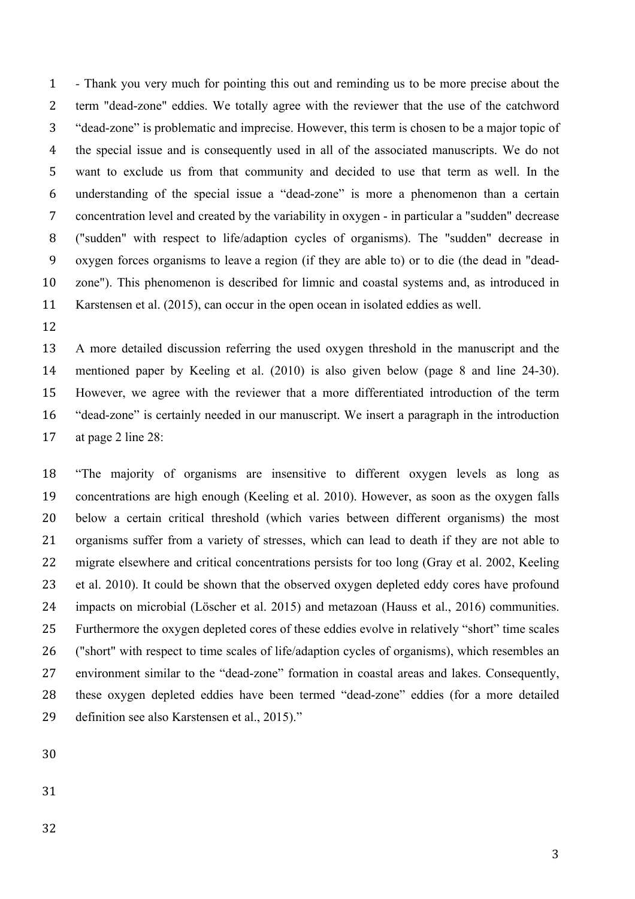*-* Thank you very much for pointing this out and reminding us to be more precise about the term "dead-zone" eddies. We totally agree with the reviewer that the use of the catchword "dead-zone" is problematic and imprecise. However, this term is chosen to be a major topic of the special issue and is consequently used in all of the associated manuscripts. We do not want to exclude us from that community and decided to use that term as well. In the understanding of the special issue a "dead-zone" is more a phenomenon than a certain concentration level and created by the variability in oxygen - in particular a "sudden" decrease ("sudden" with respect to life/adaption cycles of organisms). The "sudden" decrease in oxygen forces organisms to leave a region (if they are able to) or to die (the dead in "dead- zone"). This phenomenon is described for limnic and coastal systems and, as introduced in Karstensen et al. (2015), can occur in the open ocean in isolated eddies as well.

 A more detailed discussion referring the used oxygen threshold in the manuscript and the mentioned paper by Keeling et al. (2010) is also given below (page 8 and line 24-30). However, we agree with the reviewer that a more differentiated introduction of the term "dead-zone" is certainly needed in our manuscript. We insert a paragraph in the introduction at page 2 line 28:

 "The majority of organisms are insensitive to different oxygen levels as long as concentrations are high enough (Keeling et al. 2010). However, as soon as the oxygen falls below a certain critical threshold (which varies between different organisms) the most organisms suffer from a variety of stresses, which can lead to death if they are not able to migrate elsewhere and critical concentrations persists for too long (Gray et al. 2002, Keeling et al. 2010). It could be shown that the observed oxygen depleted eddy cores have profound impacts on microbial (Löscher et al. 2015) and metazoan (Hauss et al., 2016) communities. Furthermore the oxygen depleted cores of these eddies evolve in relatively "short" time scales ("short" with respect to time scales of life/adaption cycles of organisms), which resembles an environment similar to the "dead-zone" formation in coastal areas and lakes. Consequently, these oxygen depleted eddies have been termed "dead-zone" eddies (for a more detailed definition see also Karstensen et al., 2015)."

- 
- 
-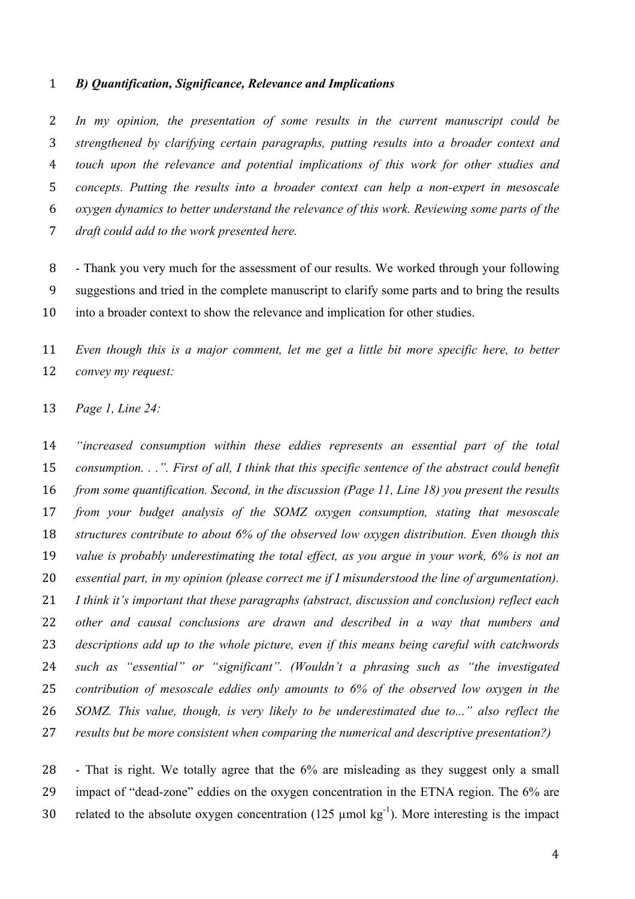#### *B) Quantification, Significance, Relevance and Implications*

 *In my opinion, the presentation of some results in the current manuscript could be strengthened by clarifying certain paragraphs, putting results into a broader context and touch upon the relevance and potential implications of this work for other studies and concepts. Putting the results into a broader context can help a non-expert in mesoscale oxygen dynamics to better understand the relevance of this work. Reviewing some parts of the draft could add to the work presented here.* 

 - Thank you very much for the assessment of our results. We worked through your following suggestions and tried in the complete manuscript to clarify some parts and to bring the results into a broader context to show the relevance and implication for other studies.

 *Even though this is a major comment, let me get a little bit more specific here, to better convey my request:* 

*Page 1, Line 24:*

 *"increased consumption within these eddies represents an essential part of the total consumption. . .". First of all, I think that this specific sentence of the abstract could benefit from some quantification. Second, in the discussion (Page 11, Line 18) you present the results from your budget analysis of the SOMZ oxygen consumption, stating that mesoscale structures contribute to about 6% of the observed low oxygen distribution. Even though this value is probably underestimating the total effect, as you argue in your work, 6% is not an essential part, in my opinion (please correct me if I misunderstood the line of argumentation). I think it's important that these paragraphs (abstract, discussion and conclusion) reflect each other and causal conclusions are drawn and described in a way that numbers and descriptions add up to the whole picture, even if this means being careful with catchwords such as "essential" or "significant". (Wouldn't a phrasing such as "the investigated contribution of mesoscale eddies only amounts to 6% of the observed low oxygen in the SOMZ. This value, though, is very likely to be underestimated due to..." also reflect the results but be more consistent when comparing the numerical and descriptive presentation?)* 

 - That is right. We totally agree that the 6% are misleading as they suggest only a small impact of "dead-zone" eddies on the oxygen concentration in the ETNA region. The 6% are 30 related to the absolute oxygen concentration (125  $\mu$ mol kg<sup>-1</sup>). More interesting is the impact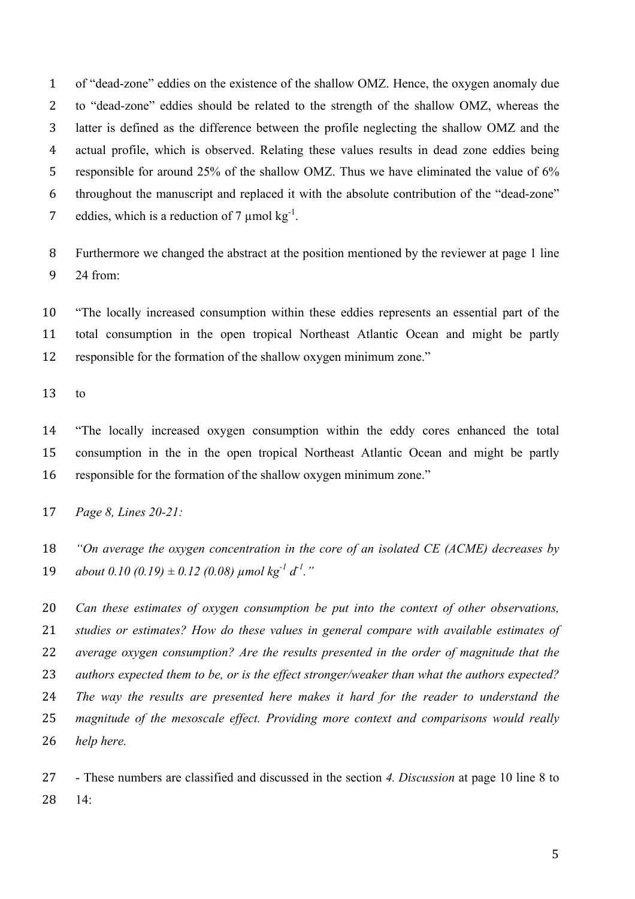of "dead-zone" eddies on the existence of the shallow OMZ. Hence, the oxygen anomaly due to "dead-zone" eddies should be related to the strength of the shallow OMZ, whereas the latter is defined as the difference between the profile neglecting the shallow OMZ and the actual profile, which is observed. Relating these values results in dead zone eddies being responsible for around 25% of the shallow OMZ. Thus we have eliminated the value of 6% throughout the manuscript and replaced it with the absolute contribution of the "dead-zone" 7 eddies, which is a reduction of 7  $\mu$ mol kg<sup>-1</sup>.

 Furthermore we changed the abstract at the position mentioned by the reviewer at page 1 line 24 from:

 "The locally increased consumption within these eddies represents an essential part of the total consumption in the open tropical Northeast Atlantic Ocean and might be partly responsible for the formation of the shallow oxygen minimum zone."

to

 "The locally increased oxygen consumption within the eddy cores enhanced the total consumption in the in the open tropical Northeast Atlantic Ocean and might be partly responsible for the formation of the shallow oxygen minimum zone."

 *"On average the oxygen concentration in the core of an isolated CE (ACME) decreases by*   $a\bar{b}$  *about* 0.10 (0.19)  $\pm$  0.12 (0.08)  $\mu$  *mol*  $k\bar{g}^{-1}d^{-1}$ ."

 *Can these estimates of oxygen consumption be put into the context of other observations, studies or estimates? How do these values in general compare with available estimates of average oxygen consumption? Are the results presented in the order of magnitude that the authors expected them to be, or is the effect stronger/weaker than what the authors expected? The way the results are presented here makes it hard for the reader to understand the magnitude of the mesoscale effect. Providing more context and comparisons would really help here.* 

 - These numbers are classified and discussed in the section *4. Discussion* at page 10 line 8 to 14:

*Page 8, Lines 20-21:*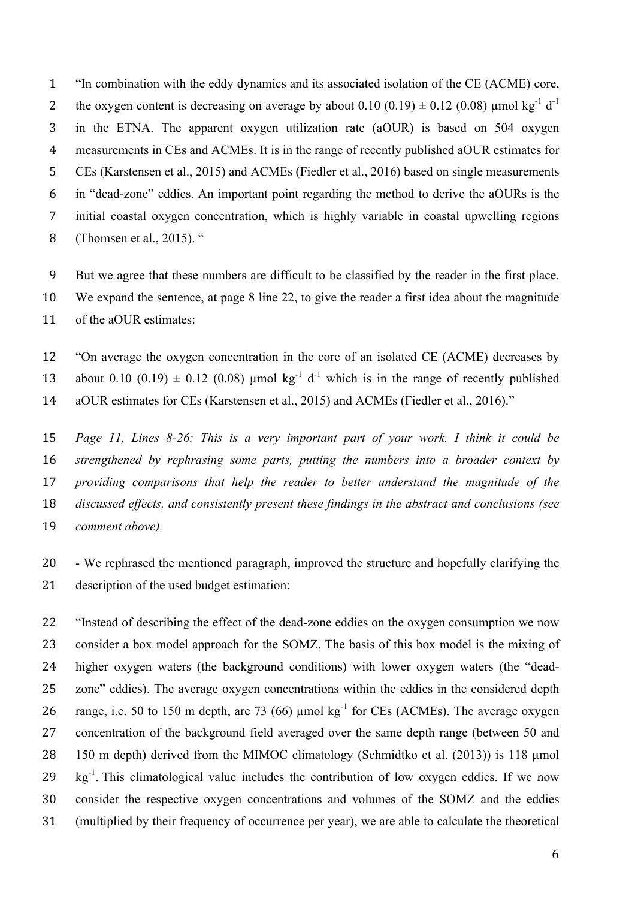"In combination with the eddy dynamics and its associated isolation of the CE (ACME) core, the oxygen content is decreasing on average by about  $0.10$   $(0.19) \pm 0.12$   $(0.08)$  µmol kg<sup>-1</sup> d<sup>-1</sup> in the ETNA. The apparent oxygen utilization rate (aOUR) is based on 504 oxygen measurements in CEs and ACMEs. It is in the range of recently published aOUR estimates for CEs (Karstensen et al., 2015) and ACMEs (Fiedler et al., 2016) based on single measurements in "dead-zone" eddies. An important point regarding the method to derive the aOURs is the initial coastal oxygen concentration, which is highly variable in coastal upwelling regions (Thomsen et al., 2015). "

 But we agree that these numbers are difficult to be classified by the reader in the first place. We expand the sentence, at page 8 line 22, to give the reader a first idea about the magnitude of the aOUR estimates:

 "On average the oxygen concentration in the core of an isolated CE (ACME) decreases by 13 about 0.10 (0.19)  $\pm$  0.12 (0.08) µmol kg<sup>-1</sup> d<sup>-1</sup> which is in the range of recently published aOUR estimates for CEs (Karstensen et al., 2015) and ACMEs (Fiedler et al., 2016)."

 *Page 11, Lines 8-26: This is a very important part of your work. I think it could be strengthened by rephrasing some parts, putting the numbers into a broader context by providing comparisons that help the reader to better understand the magnitude of the discussed effects, and consistently present these findings in the abstract and conclusions (see comment above).* 

 - We rephrased the mentioned paragraph, improved the structure and hopefully clarifying the description of the used budget estimation:

 "Instead of describing the effect of the dead-zone eddies on the oxygen consumption we now consider a box model approach for the SOMZ. The basis of this box model is the mixing of higher oxygen waters (the background conditions) with lower oxygen waters (the "dead- zone" eddies). The average oxygen concentrations within the eddies in the considered depth 26 range, i.e. 50 to 150 m depth, are 73 (66)  $\mu$ mol kg<sup>-1</sup> for CEs (ACMEs). The average oxygen concentration of the background field averaged over the same depth range (between 50 and 28 150 m depth) derived from the MIMOC climatology (Schmidtko et al. (2013)) is 118 µmol  $\,$  kg<sup>-1</sup>. This climatological value includes the contribution of low oxygen eddies. If we now consider the respective oxygen concentrations and volumes of the SOMZ and the eddies (multiplied by their frequency of occurrence per year), we are able to calculate the theoretical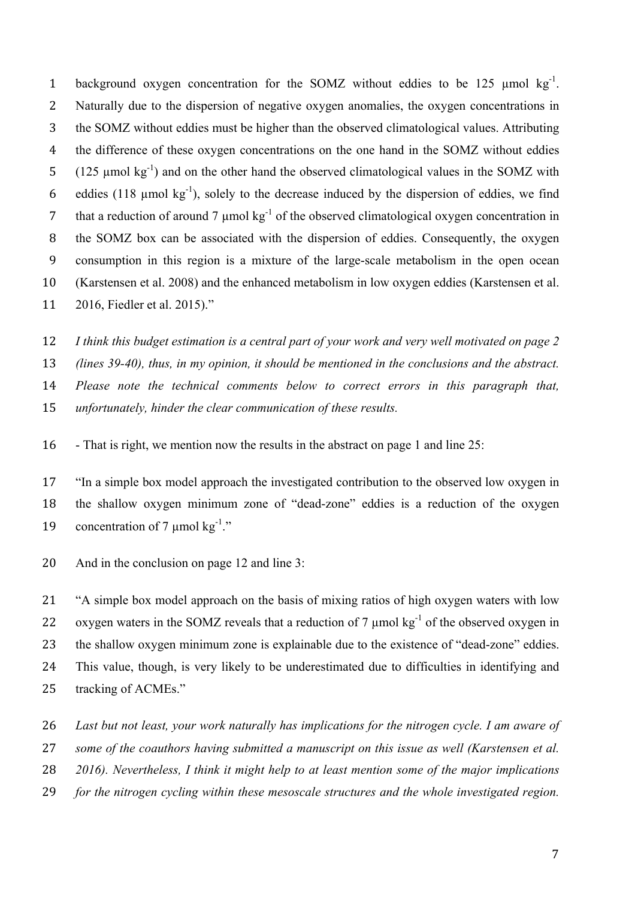1 background oxygen concentration for the SOMZ without eddies to be 125  $\mu$ mol kg<sup>-1</sup>. Naturally due to the dispersion of negative oxygen anomalies, the oxygen concentrations in the SOMZ without eddies must be higher than the observed climatological values. Attributing the difference of these oxygen concentrations on the one hand in the SOMZ without eddies  $(125 \text{ µmol kg}^{-1})$  and on the other hand the observed climatological values in the SOMZ with 6 eddies (118  $\mu$ mol kg<sup>-1</sup>), solely to the decrease induced by the dispersion of eddies, we find 7 that a reduction of around 7  $\mu$ mol kg<sup>-1</sup> of the observed climatological oxygen concentration in the SOMZ box can be associated with the dispersion of eddies. Consequently, the oxygen consumption in this region is a mixture of the large-scale metabolism in the open ocean (Karstensen et al. 2008) and the enhanced metabolism in low oxygen eddies (Karstensen et al. 2016, Fiedler et al. 2015)."

 *I think this budget estimation is a central part of your work and very well motivated on page 2 (lines 39-40), thus, in my opinion, it should be mentioned in the conclusions and the abstract. Please note the technical comments below to correct errors in this paragraph that, unfortunately, hinder the clear communication of these results.*

- That is right, we mention now the results in the abstract on page 1 and line 25:

 "In a simple box model approach the investigated contribution to the observed low oxygen in the shallow oxygen minimum zone of "dead-zone" eddies is a reduction of the oxygen 19 concentration of 7  $\mu$ mol kg<sup>-1</sup>."

And in the conclusion on page 12 and line 3:

 "A simple box model approach on the basis of mixing ratios of high oxygen waters with low 22 oxygen waters in the SOMZ reveals that a reduction of 7  $\mu$ mol kg<sup>-1</sup> of the observed oxygen in the shallow oxygen minimum zone is explainable due to the existence of "dead-zone" eddies. This value, though, is very likely to be underestimated due to difficulties in identifying and tracking of ACMEs."

*Last but not least, your work naturally has implications for the nitrogen cycle. I am aware of* 

*some of the coauthors having submitted a manuscript on this issue as well (Karstensen et al.* 

*2016). Nevertheless, I think it might help to at least mention some of the major implications* 

*for the nitrogen cycling within these mesoscale structures and the whole investigated region.*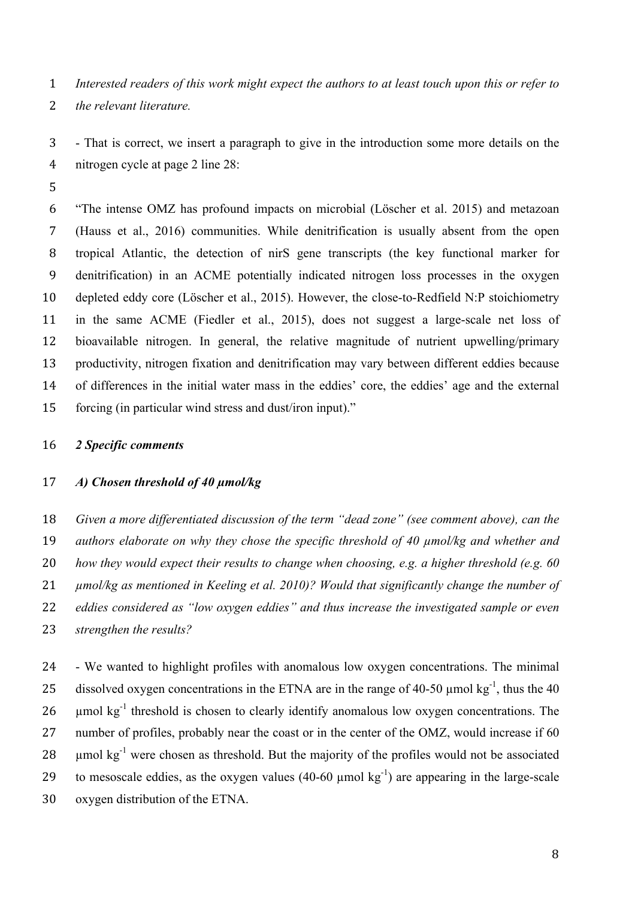*Interested readers of this work might expect the authors to at least touch upon this or refer to the relevant literature.*

 - That is correct, we insert a paragraph to give in the introduction some more details on the nitrogen cycle at page 2 line 28:

 "The intense OMZ has profound impacts on microbial (Löscher et al. 2015) and metazoan (Hauss et al., 2016) communities. While denitrification is usually absent from the open tropical Atlantic, the detection of nirS gene transcripts (the key functional marker for denitrification) in an ACME potentially indicated nitrogen loss processes in the oxygen depleted eddy core (Löscher et al., 2015). However, the close-to-Redfield N:P stoichiometry in the same ACME (Fiedler et al., 2015), does not suggest a large-scale net loss of bioavailable nitrogen. In general, the relative magnitude of nutrient upwelling/primary productivity, nitrogen fixation and denitrification may vary between different eddies because of differences in the initial water mass in the eddies' core, the eddies' age and the external forcing (in particular wind stress and dust/iron input)."

### *2 Specific comments*

### *A) Chosen threshold of 40 µmol/kg*

 *Given a more differentiated discussion of the term "dead zone" (see comment above), can the authors elaborate on why they chose the specific threshold of 40 µmol/kg and whether and how they would expect their results to change when choosing, e.g. a higher threshold (e.g. 60 µmol/kg as mentioned in Keeling et al. 2010)? Would that significantly change the number of eddies considered as "low oxygen eddies" and thus increase the investigated sample or even strengthen the results?* 

 - We wanted to highlight profiles with anomalous low oxygen concentrations. The minimal 25 dissolved oxygen concentrations in the ETNA are in the range of 40-50  $\mu$ mol kg<sup>-1</sup>, thus the 40 26 umol  $kg^{-1}$  threshold is chosen to clearly identify anomalous low oxygen concentrations. The 27 number of profiles, probably near the coast or in the center of the OMZ, would increase if 60 28 umol  $kg^{-1}$  were chosen as threshold. But the majority of the profiles would not be associated 29 to mesoscale eddies, as the oxygen values (40-60  $\mu$ mol kg<sup>-1</sup>) are appearing in the large-scale oxygen distribution of the ETNA.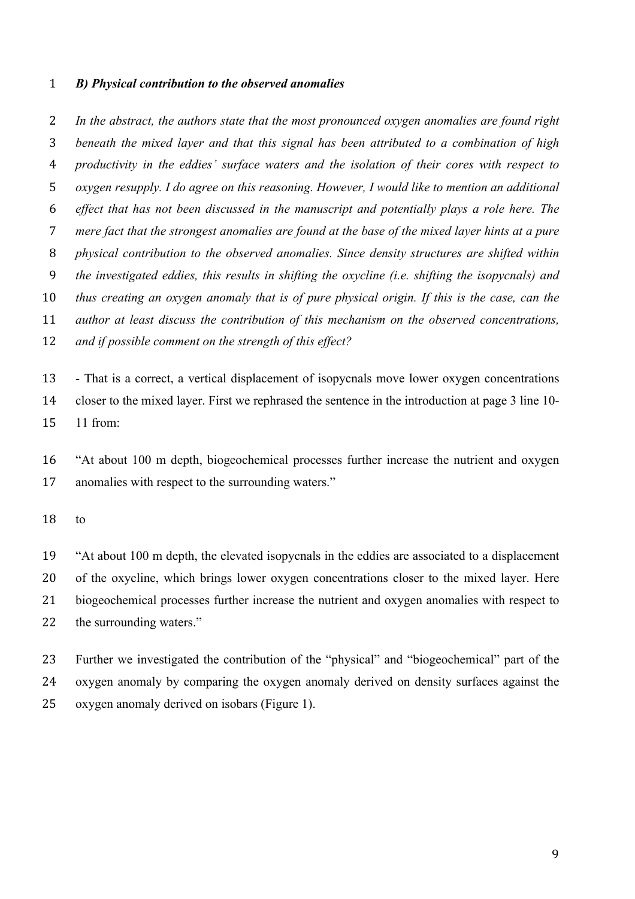#### *B) Physical contribution to the observed anomalies*

 *In the abstract, the authors state that the most pronounced oxygen anomalies are found right beneath the mixed layer and that this signal has been attributed to a combination of high productivity in the eddies' surface waters and the isolation of their cores with respect to oxygen resupply. I do agree on this reasoning. However, I would like to mention an additional effect that has not been discussed in the manuscript and potentially plays a role here. The mere fact that the strongest anomalies are found at the base of the mixed layer hints at a pure physical contribution to the observed anomalies. Since density structures are shifted within the investigated eddies, this results in shifting the oxycline (i.e. shifting the isopycnals) and thus creating an oxygen anomaly that is of pure physical origin. If this is the case, can the author at least discuss the contribution of this mechanism on the observed concentrations, and if possible comment on the strength of this effect?* 

 - That is a correct, a vertical displacement of isopycnals move lower oxygen concentrations closer to the mixed layer. First we rephrased the sentence in the introduction at page 3 line 10- 11 from:

 "At about 100 m depth, biogeochemical processes further increase the nutrient and oxygen anomalies with respect to the surrounding waters."

to

 "At about 100 m depth, the elevated isopycnals in the eddies are associated to a displacement of the oxycline, which brings lower oxygen concentrations closer to the mixed layer. Here biogeochemical processes further increase the nutrient and oxygen anomalies with respect to 22 the surrounding waters."

 Further we investigated the contribution of the "physical" and "biogeochemical" part of the oxygen anomaly by comparing the oxygen anomaly derived on density surfaces against the oxygen anomaly derived on isobars (Figure 1).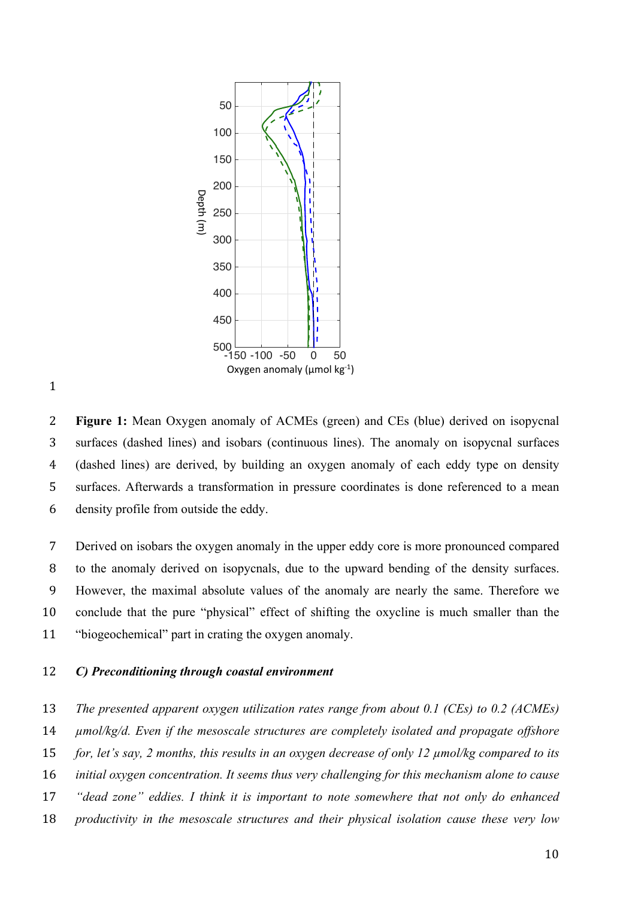



 **Figure 1:** Mean Oxygen anomaly of ACMEs (green) and CEs (blue) derived on isopycnal surfaces (dashed lines) and isobars (continuous lines). The anomaly on isopycnal surfaces (dashed lines) are derived, by building an oxygen anomaly of each eddy type on density surfaces. Afterwards a transformation in pressure coordinates is done referenced to a mean density profile from outside the eddy.

 Derived on isobars the oxygen anomaly in the upper eddy core is more pronounced compared to the anomaly derived on isopycnals, due to the upward bending of the density surfaces. However, the maximal absolute values of the anomaly are nearly the same. Therefore we conclude that the pure "physical" effect of shifting the oxycline is much smaller than the "biogeochemical" part in crating the oxygen anomaly.

# *C) Preconditioning through coastal environment*

 *The presented apparent oxygen utilization rates range from about 0.1 (CEs) to 0.2 (ACMEs) µmol/kg/d. Even if the mesoscale structures are completely isolated and propagate offshore for, let's say, 2 months, this results in an oxygen decrease of only 12 µmol/kg compared to its initial oxygen concentration. It seems thus very challenging for this mechanism alone to cause "dead zone" eddies. I think it is important to note somewhere that not only do enhanced productivity in the mesoscale structures and their physical isolation cause these very low*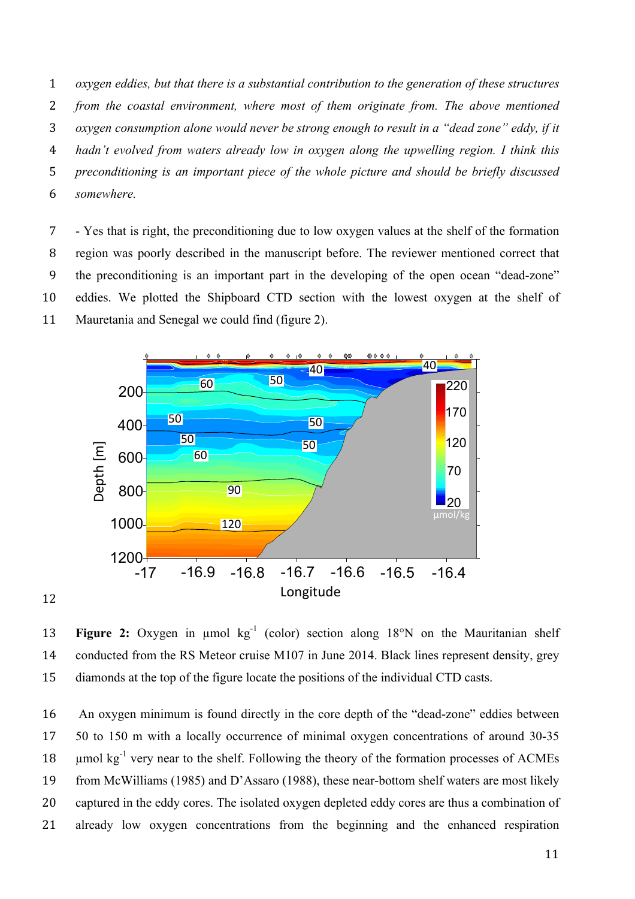*oxygen eddies, but that there is a substantial contribution to the generation of these structures from the coastal environment, where most of them originate from. The above mentioned oxygen consumption alone would never be strong enough to result in a "dead zone" eddy, if it hadn't evolved from waters already low in oxygen along the upwelling region. I think this preconditioning is an important piece of the whole picture and should be briefly discussed somewhere.* 

 - Yes that is right, the preconditioning due to low oxygen values at the shelf of the formation region was poorly described in the manuscript before. The reviewer mentioned correct that the preconditioning is an important part in the developing of the open ocean "dead-zone" eddies. We plotted the Shipboard CTD section with the lowest oxygen at the shelf of Mauretania and Senegal we could find (figure 2).



13 **Figure 2:** Oxygen in umol kg<sup>-1</sup> (color) section along 18°N on the Mauritanian shelf 14 conducted from the RS Meteor cruise M107 in June 2014. Black lines represent density, grey diamonds at the top of the figure locate the positions of the individual CTD casts.

 An oxygen minimum is found directly in the core depth of the "dead-zone" eddies between 50 to 150 m with a locally occurrence of minimal oxygen concentrations of around 30-35 18 umol  $kg^{-1}$  very near to the shelf. Following the theory of the formation processes of ACMEs from McWilliams (1985) and D'Assaro (1988), these near-bottom shelf waters are most likely captured in the eddy cores. The isolated oxygen depleted eddy cores are thus a combination of already low oxygen concentrations from the beginning and the enhanced respiration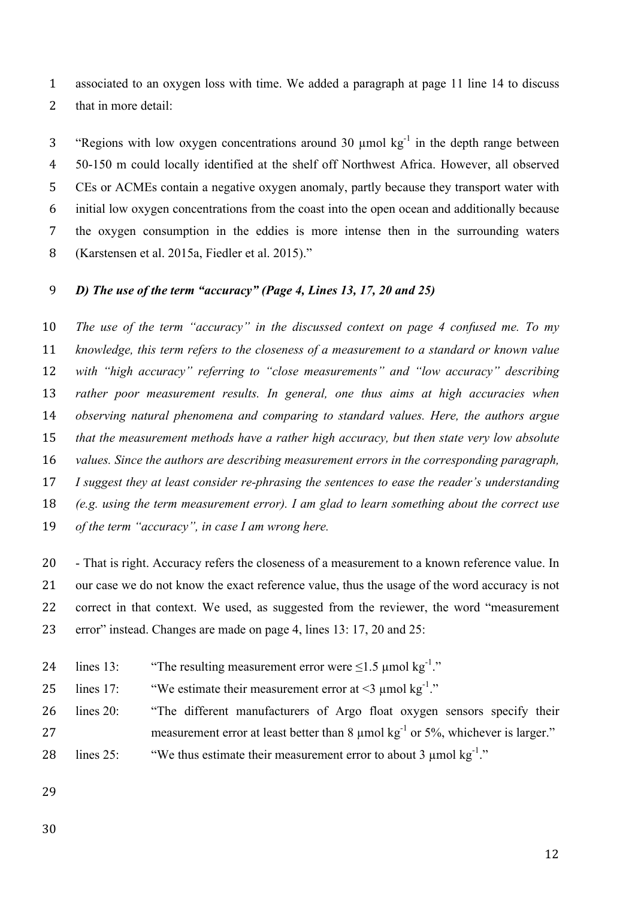associated to an oxygen loss with time. We added a paragraph at page 11 line 14 to discuss that in more detail:

3 "Regions with low oxygen concentrations around 30  $\mu$ mol kg<sup>-1</sup> in the depth range between 50-150 m could locally identified at the shelf off Northwest Africa. However, all observed CEs or ACMEs contain a negative oxygen anomaly, partly because they transport water with initial low oxygen concentrations from the coast into the open ocean and additionally because the oxygen consumption in the eddies is more intense then in the surrounding waters (Karstensen et al. 2015a, Fiedler et al. 2015)."

### *D) The use of the term "accuracy" (Page 4, Lines 13, 17, 20 and 25)*

 *The use of the term "accuracy" in the discussed context on page 4 confused me. To my knowledge, this term refers to the closeness of a measurement to a standard or known value with "high accuracy" referring to "close measurements" and "low accuracy" describing rather poor measurement results. In general, one thus aims at high accuracies when observing natural phenomena and comparing to standard values. Here, the authors argue that the measurement methods have a rather high accuracy, but then state very low absolute values. Since the authors are describing measurement errors in the corresponding paragraph, I suggest they at least consider re-phrasing the sentences to ease the reader's understanding (e.g. using the term measurement error). I am glad to learn something about the correct use of the term "accuracy", in case I am wrong here.*

 - That is right. Accuracy refers the closeness of a measurement to a known reference value. In our case we do not know the exact reference value, thus the usage of the word accuracy is not correct in that context. We used, as suggested from the reviewer, the word "measurement error" instead. Changes are made on page 4, lines 13: 17, 20 and 25:

24 lines 13: "The resulting measurement error were  $\leq 1.5$  umol kg<sup>-1</sup>."

25 lines 17: "We estimate their measurement error at  $\leq$  1 umol kg<sup>-1</sup>."

- lines 20: "The different manufacturers of Argo float oxygen sensors specify their 27 measurement error at least better than  $8 \mu$ mol kg<sup>-1</sup> or 5%, whichever is larger."
- 28 lines 25: "We thus estimate their measurement error to about 3  $\mu$ mol kg<sup>-1</sup>."
- 
-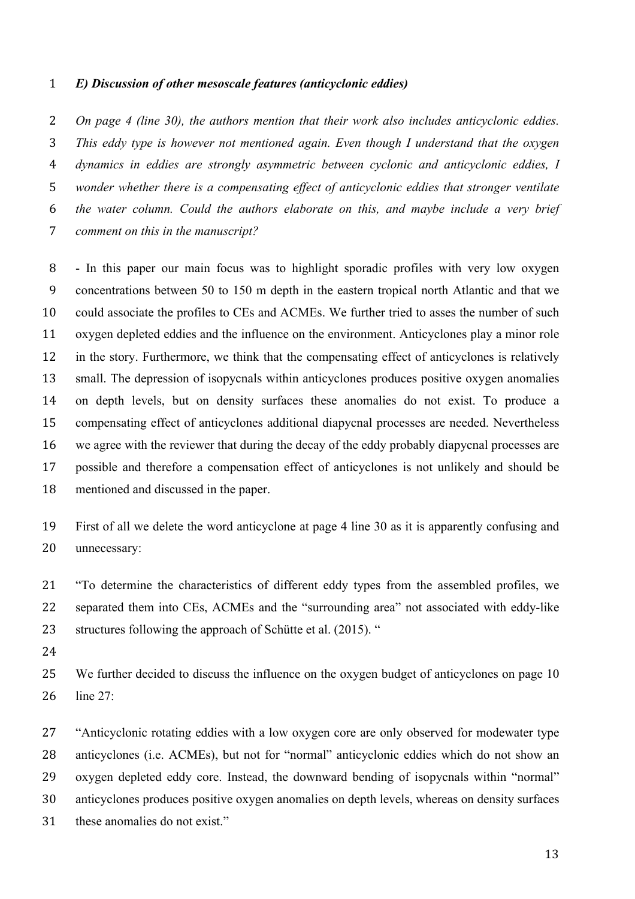#### *E) Discussion of other mesoscale features (anticyclonic eddies)*

 *On page 4 (line 30), the authors mention that their work also includes anticyclonic eddies. This eddy type is however not mentioned again. Even though I understand that the oxygen dynamics in eddies are strongly asymmetric between cyclonic and anticyclonic eddies, I wonder whether there is a compensating effect of anticyclonic eddies that stronger ventilate the water column. Could the authors elaborate on this, and maybe include a very brief comment on this in the manuscript?* 

 - In this paper our main focus was to highlight sporadic profiles with very low oxygen concentrations between 50 to 150 m depth in the eastern tropical north Atlantic and that we could associate the profiles to CEs and ACMEs. We further tried to asses the number of such oxygen depleted eddies and the influence on the environment. Anticyclones play a minor role in the story. Furthermore, we think that the compensating effect of anticyclones is relatively small. The depression of isopycnals within anticyclones produces positive oxygen anomalies on depth levels, but on density surfaces these anomalies do not exist. To produce a compensating effect of anticyclones additional diapycnal processes are needed. Nevertheless we agree with the reviewer that during the decay of the eddy probably diapycnal processes are possible and therefore a compensation effect of anticyclones is not unlikely and should be mentioned and discussed in the paper.

 First of all we delete the word anticyclone at page 4 line 30 as it is apparently confusing and unnecessary:

 "To determine the characteristics of different eddy types from the assembled profiles, we separated them into CEs, ACMEs and the "surrounding area" not associated with eddy-like 23 structures following the approach of Schütte et al. (2015). "

 We further decided to discuss the influence on the oxygen budget of anticyclones on page 10 line 27:

 "Anticyclonic rotating eddies with a low oxygen core are only observed for modewater type anticyclones (i.e. ACMEs), but not for "normal" anticyclonic eddies which do not show an oxygen depleted eddy core. Instead, the downward bending of isopycnals within "normal" anticyclones produces positive oxygen anomalies on depth levels, whereas on density surfaces these anomalies do not exist."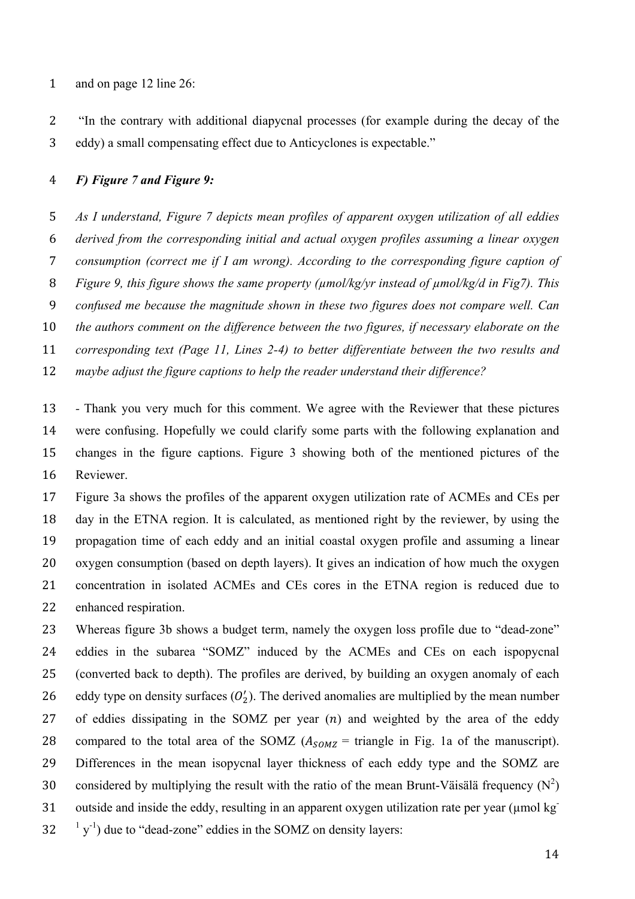and on page 12 line 26:

 "In the contrary with additional diapycnal processes (for example during the decay of the eddy) a small compensating effect due to Anticyclones is expectable."

### *F) Figure 7 and Figure 9:*

 *As I understand, Figure 7 depicts mean profiles of apparent oxygen utilization of all eddies derived from the corresponding initial and actual oxygen profiles assuming a linear oxygen consumption (correct me if I am wrong). According to the corresponding figure caption of Figure 9, this figure shows the same property (µmol/kg/yr instead of µmol/kg/d in Fig7). This confused me because the magnitude shown in these two figures does not compare well. Can the authors comment on the difference between the two figures, if necessary elaborate on the corresponding text (Page 11, Lines 2-4) to better differentiate between the two results and maybe adjust the figure captions to help the reader understand their difference?* 

 *-* Thank you very much for this comment. We agree with the Reviewer that these pictures were confusing. Hopefully we could clarify some parts with the following explanation and changes in the figure captions. Figure 3 showing both of the mentioned pictures of the Reviewer.

 Figure 3a shows the profiles of the apparent oxygen utilization rate of ACMEs and CEs per day in the ETNA region. It is calculated, as mentioned right by the reviewer, by using the propagation time of each eddy and an initial coastal oxygen profile and assuming a linear oxygen consumption (based on depth layers). It gives an indication of how much the oxygen concentration in isolated ACMEs and CEs cores in the ETNA region is reduced due to enhanced respiration.

 Whereas figure 3b shows a budget term, namely the oxygen loss profile due to "dead-zone" eddies in the subarea "SOMZ" induced by the ACMEs and CEs on each ispopycnal (converted back to depth). The profiles are derived, by building an oxygen anomaly of each 26 eddy type on density surfaces  $(O'_2)$ . The derived anomalies are multiplied by the mean number 27 of eddies dissipating in the SOMZ per year  $(n)$  and weighted by the area of the eddy 28 compared to the total area of the SOMZ  $(A_{SOMZ}$  = triangle in Fig. 1a of the manuscript). Differences in the mean isopycnal layer thickness of each eddy type and the SOMZ are 30 considered by multiplying the result with the ratio of the mean Brunt-Väisälä frequency  $(N^2)$ 31 outside and inside the eddy, resulting in an apparent oxygen utilization rate per year (µmol kg<sup>-</sup>  $32 \frac{1}{y}$  due to "dead-zone" eddies in the SOMZ on density layers: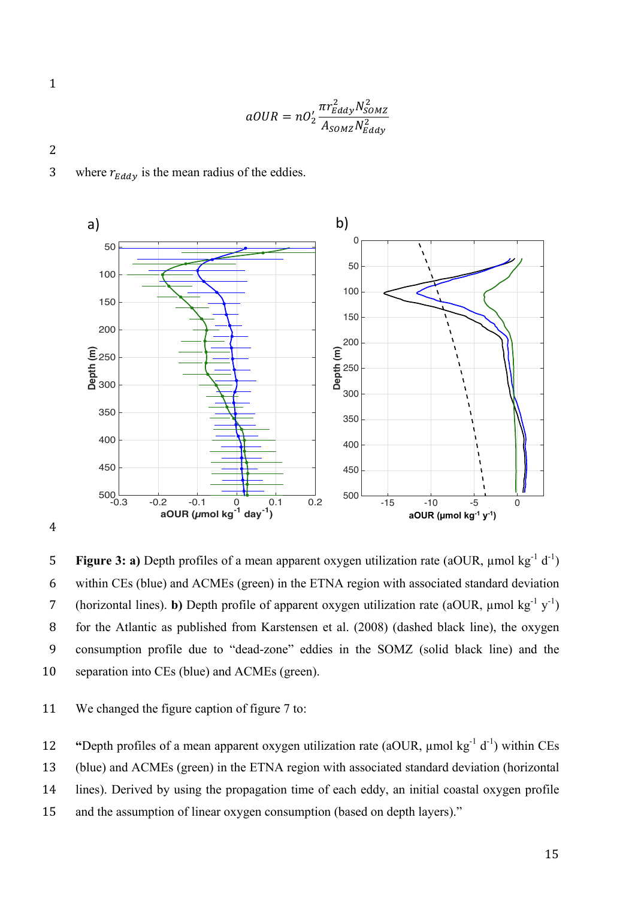$$
\mathbf{1} \\
$$

$$
aOUR = nO_2' \frac{\pi r_{Eddy}^2 N_{SOMZ}^2}{A_{SOMZ} N_{Eddy}^2}
$$

3 where  $r_{Eddy}$  is the mean radius of the eddies.



2

5 **Figure 3: a)** Depth profiles of a mean apparent oxygen utilization rate (aOUR,  $\mu$ mol kg<sup>-1</sup> d<sup>-1</sup>) 6 within CEs (blue) and ACMEs (green) in the ETNA region with associated standard deviation 7 (horizontal lines). **b**) Depth profile of apparent oxygen utilization rate (aOUR,  $\mu$ mol kg<sup>-1</sup> y<sup>-1</sup>) for the Atlantic as published from Karstensen et al. (2008) (dashed black line), the oxygen consumption profile due to "dead-zone" eddies in the SOMZ (solid black line) and the separation into CEs (blue) and ACMEs (green).

We changed the figure caption of figure 7 to:

**12** "Depth profiles of a mean apparent oxygen utilization rate (aOUR,  $\mu$ mol kg<sup>-1</sup> d<sup>-1</sup>) within CEs

(blue) and ACMEs (green) in the ETNA region with associated standard deviation (horizontal

lines). Derived by using the propagation time of each eddy, an initial coastal oxygen profile

and the assumption of linear oxygen consumption (based on depth layers)."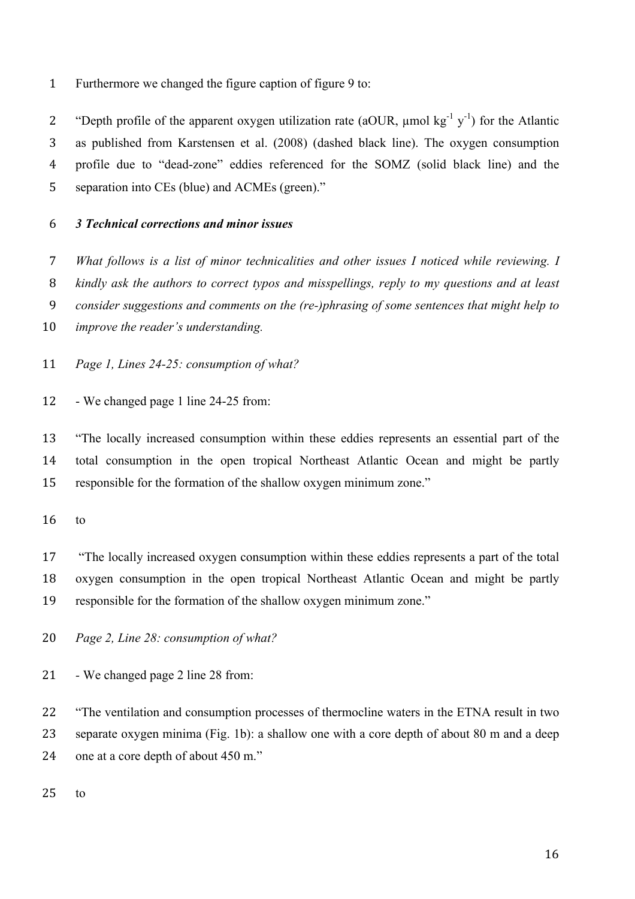Furthermore we changed the figure caption of figure 9 to:

2 "Depth profile of the apparent oxygen utilization rate (aOUR,  $\mu$ mol kg<sup>-1</sup> y<sup>-1</sup>) for the Atlantic as published from Karstensen et al. (2008) (dashed black line). The oxygen consumption profile due to "dead-zone" eddies referenced for the SOMZ (solid black line) and the separation into CEs (blue) and ACMEs (green)."

# *3 Technical corrections and minor issues*

 *What follows is a list of minor technicalities and other issues I noticed while reviewing. I kindly ask the authors to correct typos and misspellings, reply to my questions and at least* 

- *consider suggestions and comments on the (re-)phrasing of some sentences that might help to*
- *improve the reader's understanding.*
- *Page 1, Lines 24-25: consumption of what?*
- We changed page 1 line 24-25 from:

 "The locally increased consumption within these eddies represents an essential part of the total consumption in the open tropical Northeast Atlantic Ocean and might be partly responsible for the formation of the shallow oxygen minimum zone."

to

 "The locally increased oxygen consumption within these eddies represents a part of the total oxygen consumption in the open tropical Northeast Atlantic Ocean and might be partly responsible for the formation of the shallow oxygen minimum zone."

- *Page 2, Line 28: consumption of what?*
- *-* We changed page 2 line 28 from:

 "The ventilation and consumption processes of thermocline waters in the ETNA result in two 23 separate oxygen minima (Fig. 1b): a shallow one with a core depth of about 80 m and a deep one at a core depth of about 450 m."

to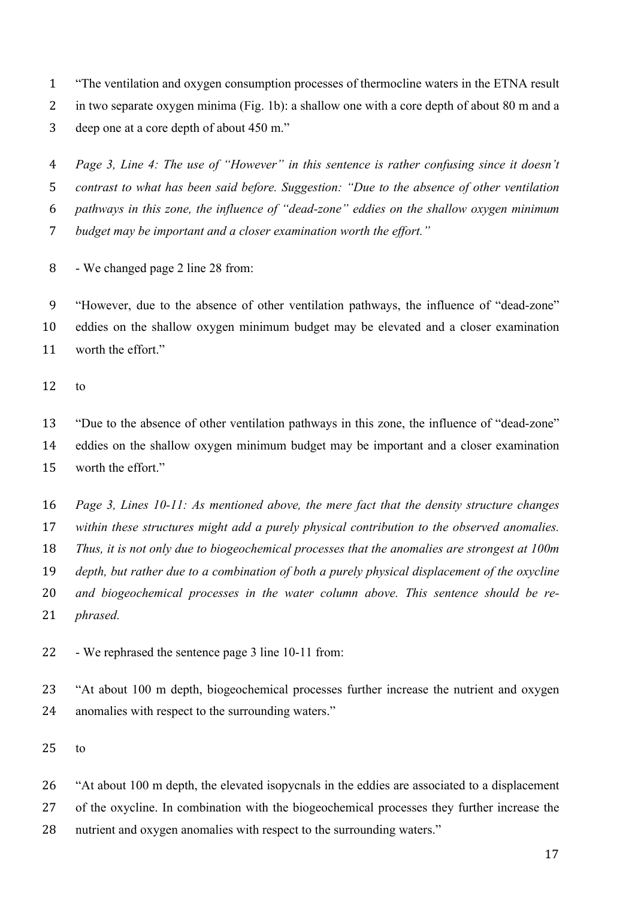"The ventilation and oxygen consumption processes of thermocline waters in the ETNA result in two separate oxygen minima (Fig. 1b): a shallow one with a core depth of about 80 m and a deep one at a core depth of about 450 m."

 *Page 3, Line 4: The use of "However" in this sentence is rather confusing since it doesn't contrast to what has been said before. Suggestion: "Due to the absence of other ventilation pathways in this zone, the influence of "dead-zone" eddies on the shallow oxygen minimum budget may be important and a closer examination worth the effort."* 

- We changed page 2 line 28 from:

 "However, due to the absence of other ventilation pathways, the influence of "dead-zone" eddies on the shallow oxygen minimum budget may be elevated and a closer examination worth the effort."

to

 "Due to the absence of other ventilation pathways in this zone, the influence of "dead-zone" eddies on the shallow oxygen minimum budget may be important and a closer examination worth the effort."

 *Page 3, Lines 10-11: As mentioned above, the mere fact that the density structure changes within these structures might add a purely physical contribution to the observed anomalies. Thus, it is not only due to biogeochemical processes that the anomalies are strongest at 100m depth, but rather due to a combination of both a purely physical displacement of the oxycline and biogeochemical processes in the water column above. This sentence should be re-phrased.* 

- We rephrased the sentence page 3 line 10-11 from:

 "At about 100 m depth, biogeochemical processes further increase the nutrient and oxygen anomalies with respect to the surrounding waters."

to

 "At about 100 m depth, the elevated isopycnals in the eddies are associated to a displacement of the oxycline. In combination with the biogeochemical processes they further increase the nutrient and oxygen anomalies with respect to the surrounding waters."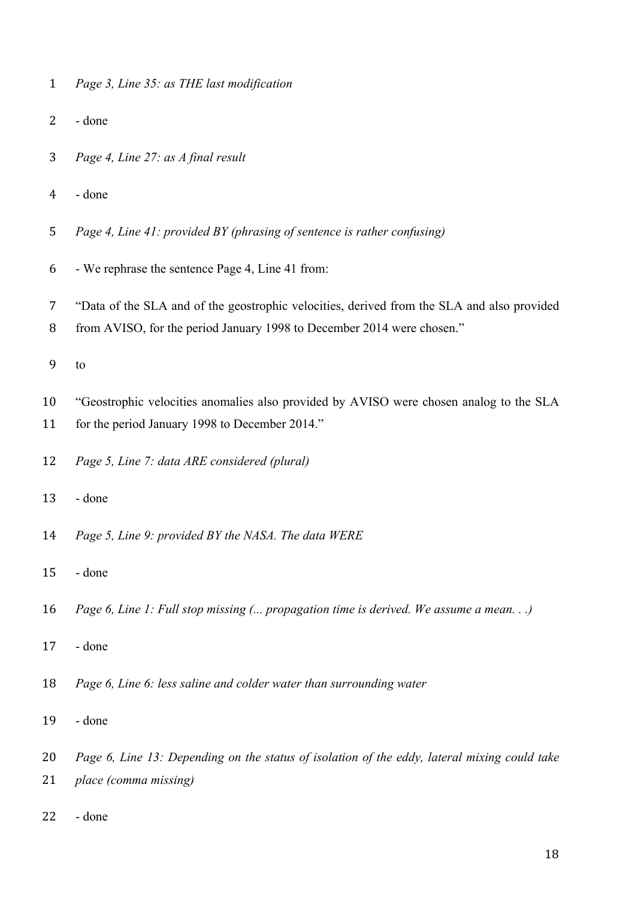| 1 |  |  | Page 3, Line 35: as THE last modification |
|---|--|--|-------------------------------------------|
|   |  |  |                                           |

- done
- *Page 4, Line 27: as A final result*
- done
- *Page 4, Line 41: provided BY (phrasing of sentence is rather confusing)*
- We rephrase the sentence Page 4, Line 41 from:
- "Data of the SLA and of the geostrophic velocities, derived from the SLA and also provided
- 8 from AVISO, for the period January 1998 to December 2014 were chosen."
- to
- "Geostrophic velocities anomalies also provided by AVISO were chosen analog to the SLA
- 11 for the period January 1998 to December 2014."
- *Page 5, Line 7: data ARE considered (plural)*
- done
- *Page 5, Line 9: provided BY the NASA. The data WERE*
- done
- *Page 6, Line 1: Full stop missing (... propagation time is derived. We assume a mean. . .)*
- done
- *Page 6, Line 6: less saline and colder water than surrounding water*
- done
- *Page 6, Line 13: Depending on the status of isolation of the eddy, lateral mixing could take*
- *place (comma missing)*
- done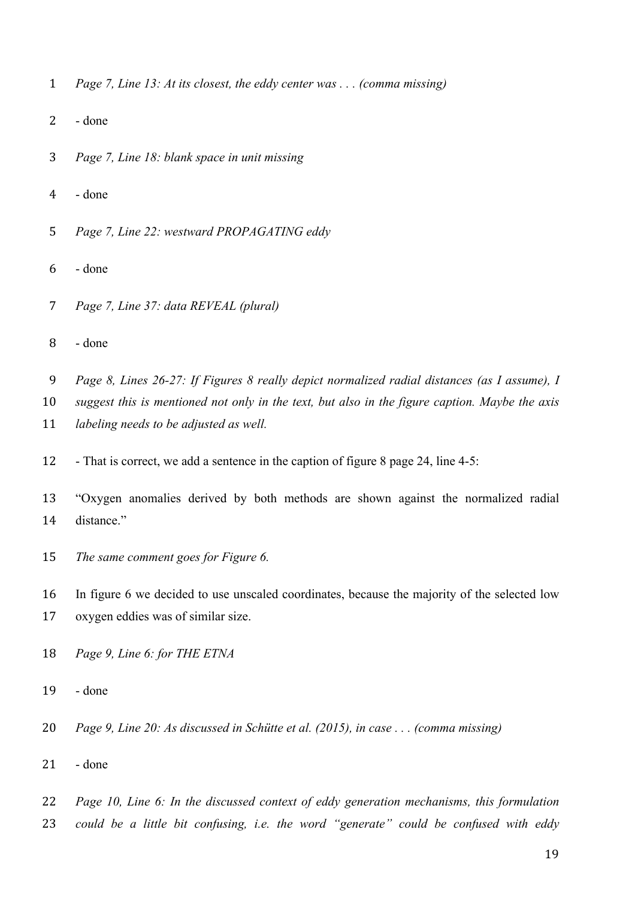- *Page 7, Line 13: At its closest, the eddy center was . . . (comma missing)*
- done
- *Page 7, Line 18: blank space in unit missing*
- done
- *Page 7, Line 22: westward PROPAGATING eddy*
- done
- *Page 7, Line 37: data REVEAL (plural)*
- done
- *Page 8, Lines 26-27: If Figures 8 really depict normalized radial distances (as I assume), I*
- *suggest this is mentioned not only in the text, but also in the figure caption. Maybe the axis labeling needs to be adjusted as well.*
- That is correct, we add a sentence in the caption of figure 8 page 24, line 4-5:
- "Oxygen anomalies derived by both methods are shown against the normalized radial distance."
- *The same comment goes for Figure 6.*

 In figure 6 we decided to use unscaled coordinates, because the majority of the selected low oxygen eddies was of similar size.

- *Page 9, Line 6: for THE ETNA*
- done
- *Page 9, Line 20: As discussed in Schütte et al. (2015), in case . . . (comma missing)*
- done
- *Page 10, Line 6: In the discussed context of eddy generation mechanisms, this formulation*
- *could be a little bit confusing, i.e. the word "generate" could be confused with eddy*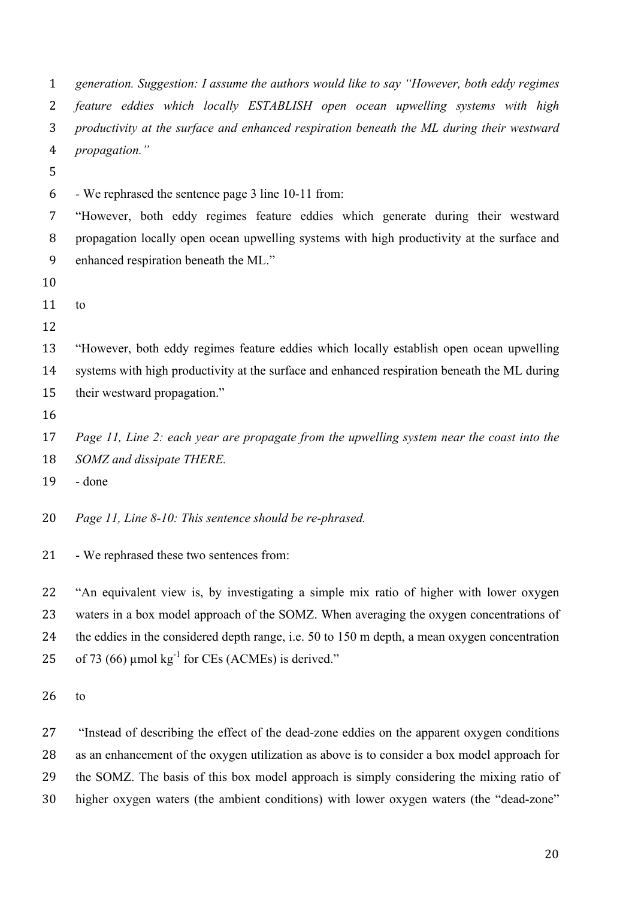| $\mathbf{1}$   | generation. Suggestion: I assume the authors would like to say "However, both eddy regimes    |  |  |  |  |  |  |
|----------------|-----------------------------------------------------------------------------------------------|--|--|--|--|--|--|
| 2              | feature eddies which locally ESTABLISH open ocean upwelling systems with high                 |  |  |  |  |  |  |
| 3              | productivity at the surface and enhanced respiration beneath the ML during their westward     |  |  |  |  |  |  |
| $\overline{4}$ | propagation."                                                                                 |  |  |  |  |  |  |
| 5              |                                                                                               |  |  |  |  |  |  |
| 6              | - We rephrased the sentence page 3 line 10-11 from:                                           |  |  |  |  |  |  |
| 7              | "However, both eddy regimes feature eddies which generate during their westward               |  |  |  |  |  |  |
| 8              | propagation locally open ocean upwelling systems with high productivity at the surface and    |  |  |  |  |  |  |
| 9              | enhanced respiration beneath the ML."                                                         |  |  |  |  |  |  |
| 10             |                                                                                               |  |  |  |  |  |  |
| 11             | to                                                                                            |  |  |  |  |  |  |
| 12             |                                                                                               |  |  |  |  |  |  |
| 13             | "However, both eddy regimes feature eddies which locally establish open ocean upwelling       |  |  |  |  |  |  |
| 14             | systems with high productivity at the surface and enhanced respiration beneath the ML during  |  |  |  |  |  |  |
| 15             | their westward propagation."                                                                  |  |  |  |  |  |  |
| 16             |                                                                                               |  |  |  |  |  |  |
| 17             | Page 11, Line 2: each year are propagate from the upwelling system near the coast into the    |  |  |  |  |  |  |
| 18             | SOMZ and dissipate THERE.                                                                     |  |  |  |  |  |  |
| 19             | - done                                                                                        |  |  |  |  |  |  |
| 20             | Page 11, Line 8-10: This sentence should be re-phrased.                                       |  |  |  |  |  |  |
| 21             | - We rephrased these two sentences from:                                                      |  |  |  |  |  |  |
| 22             | "An equivalent view is, by investigating a simple mix ratio of higher with lower oxygen       |  |  |  |  |  |  |
| 23             | waters in a box model approach of the SOMZ. When averaging the oxygen concentrations of       |  |  |  |  |  |  |
| 24             | the eddies in the considered depth range, i.e. 50 to 150 m depth, a mean oxygen concentration |  |  |  |  |  |  |
| 25             | of 73 (66) $\mu$ mol kg <sup>-1</sup> for CEs (ACMEs) is derived."                            |  |  |  |  |  |  |
| 26             | to                                                                                            |  |  |  |  |  |  |

 "Instead of describing the effect of the dead-zone eddies on the apparent oxygen conditions as an enhancement of the oxygen utilization as above is to consider a box model approach for the SOMZ. The basis of this box model approach is simply considering the mixing ratio of higher oxygen waters (the ambient conditions) with lower oxygen waters (the "dead-zone"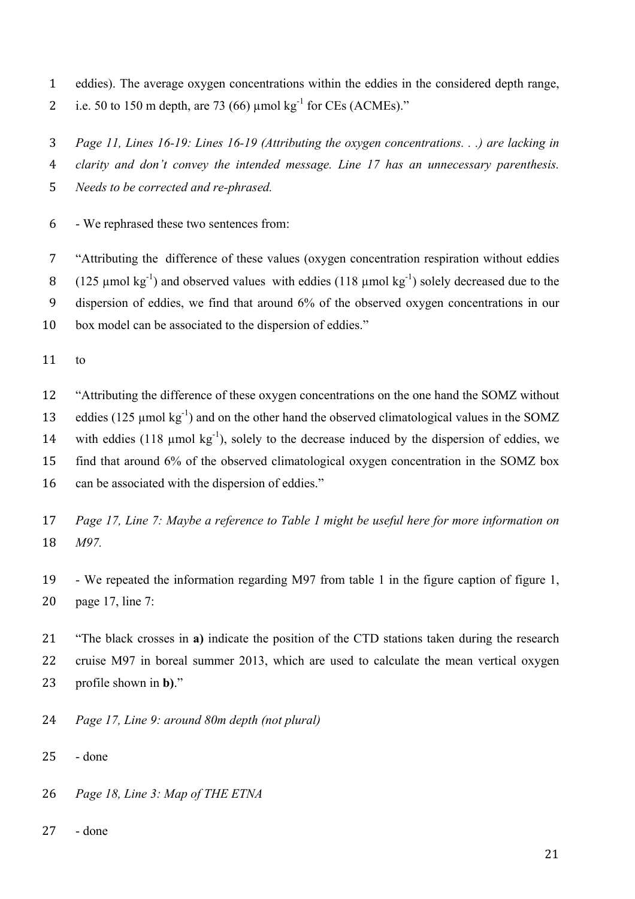eddies). The average oxygen concentrations within the eddies in the considered depth range, 2 i.e. 50 to 150 m depth, are 73 (66)  $\mu$ mol kg<sup>-1</sup> for CEs (ACMEs)."

*Page 11, Lines 16-19: Lines 16-19 (Attributing the oxygen concentrations. . .) are lacking in* 

 *clarity and don't convey the intended message. Line 17 has an unnecessary parenthesis. Needs to be corrected and re-phrased.* 

- We rephrased these two sentences from:

 "Attributing the difference of these values (oxygen concentration respiration without eddies 8 (125 µmol kg<sup>-1</sup>) and observed values with eddies (118 µmol kg<sup>-1</sup>) solely decreased due to the dispersion of eddies, we find that around 6% of the observed oxygen concentrations in our box model can be associated to the dispersion of eddies."

to

 "Attributing the difference of these oxygen concentrations on the one hand the SOMZ without 13 eddies (125 umol kg<sup>-1</sup>) and on the other hand the observed climatological values in the SOMZ 14 with eddies (118  $\mu$ mol kg<sup>-1</sup>), solely to the decrease induced by the dispersion of eddies, we find that around 6% of the observed climatological oxygen concentration in the SOMZ box can be associated with the dispersion of eddies."

 *Page 17, Line 7: Maybe a reference to Table 1 might be useful here for more information on M97.* 

 - We repeated the information regarding M97 from table 1 in the figure caption of figure 1, page 17, line 7:

 "The black crosses in **a)** indicate the position of the CTD stations taken during the research cruise M97 in boreal summer 2013, which are used to calculate the mean vertical oxygen profile shown in **b)**."

*Page 17, Line 9: around 80m depth (not plural)*

- done

*Page 18, Line 3: Map of THE ETNA*

- done